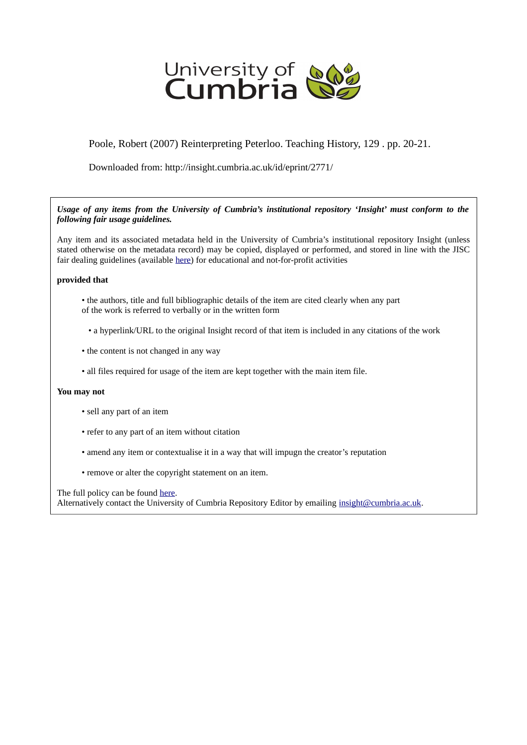

## Poole, Robert (2007) Reinterpreting Peterloo. Teaching History, 129 . pp. 20-21.

Downloaded from: http://insight.cumbria.ac.uk/id/eprint/2771/

### *Usage of any items from the University of Cumbria's institutional repository 'Insight' must conform to the following fair usage guidelines.*

Any item and its associated metadata held in the University of Cumbria's institutional repository Insight (unless stated otherwise on the metadata record) may be copied, displayed or performed, and stored in line with the JISC fair dealing guidelines (available [here\)](http://www.ukoln.ac.uk/services/elib/papers/pa/fair/) for educational and not-for-profit activities

#### **provided that**

- the authors, title and full bibliographic details of the item are cited clearly when any part of the work is referred to verbally or in the written form
	- a hyperlink/URL to the original Insight record of that item is included in any citations of the work
- the content is not changed in any way
- all files required for usage of the item are kept together with the main item file.

#### **You may not**

- sell any part of an item
- refer to any part of an item without citation
- amend any item or contextualise it in a way that will impugn the creator's reputation
- remove or alter the copyright statement on an item.

The full policy can be found [here.](http://insight.cumbria.ac.uk/legal.html#section5)

Alternatively contact the University of Cumbria Repository Editor by emailing [insight@cumbria.ac.uk.](mailto:insight@cumbria.ac.uk)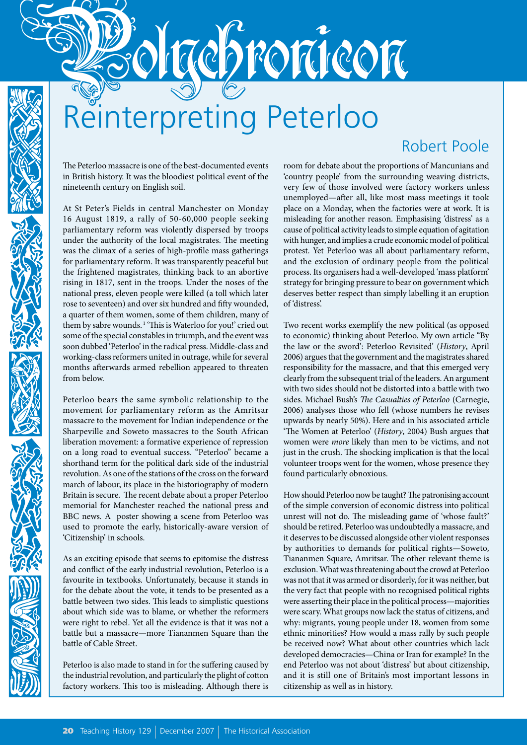# Reinterpreting Peterloo

repronicon

## Robert Poole

The Peterloo massacre is one of the best-documented events in British history. It was the bloodiest political event of the nineteenth century on English soil.

At St Peter's Fields in central Manchester on Monday 16 August 1819, a rally of 50-60,000 people seeking parliamentary reform was violently dispersed by troops under the authority of the local magistrates. The meeting was the climax of a series of high-profile mass gatherings for parliamentary reform. It was transparently peaceful but the frightened magistrates, thinking back to an abortive rising in 1817, sent in the troops. Under the noses of the national press, eleven people were killed (a toll which later rose to seventeen) and over six hundred and fifty wounded, a quarter of them women, some of them children, many of them by sabre wounds. 1 'This is Waterloo for you!' cried out some of the special constables in triumph, and the event was soon dubbed 'Peterloo' in the radical press. Middle-class and working-class reformers united in outrage, while for several months afterwards armed rebellion appeared to threaten from below.

Peterloo bears the same symbolic relationship to the movement for parliamentary reform as the Amritsar massacre to the movement for Indian independence or the Sharpeville and Soweto massacres to the South African liberation movement: a formative experience of repression on a long road to eventual success. "Peterloo" became a shorthand term for the political dark side of the industrial revolution. As one of the stations of the cross on the forward march of labour, its place in the historiography of modern Britain is secure. The recent debate about a proper Peterloo memorial for Manchester reached the national press and BBC news*.* A poster showing a scene from Peterloo was used to promote the early, historically-aware version of 'Citizenship' in schools.

As an exciting episode that seems to epitomise the distress and conflict of the early industrial revolution, Peterloo is a favourite in textbooks. Unfortunately, because it stands in for the debate about the vote, it tends to be presented as a battle between two sides. This leads to simplistic questions about which side was to blame, or whether the reformers were right to rebel. Yet all the evidence is that it was not a battle but a massacre—more Tiananmen Square than the battle of Cable Street.

Peterloo is also made to stand in for the suffering caused by the industrial revolution, and particularly the plight of cotton factory workers. This too is misleading. Although there is room for debate about the proportions of Mancunians and 'country people' from the surrounding weaving districts, very few of those involved were factory workers unless unemployed—after all, like most mass meetings it took place on a Monday, when the factories were at work. It is misleading for another reason. Emphasising 'distress' as a cause of political activity leads to simple equation of agitation with hunger, and implies a crude economic model of political protest. Yet Peterloo was all about parliamentary reform, and the exclusion of ordinary people from the political process. Its organisers had a well-developed 'mass platform' strategy for bringing pressure to bear on government which deserves better respect than simply labelling it an eruption of 'distress'.

Two recent works exemplify the new political (as opposed to economic) thinking about Peterloo. My own article ''By the law or the sword': Peterloo Revisited' (*History*, April 2006) argues that the government and the magistrates shared responsibility for the massacre, and that this emerged very clearly from the subsequent trial of the leaders. An argument with two sides should not be distorted into a battle with two sides. Michael Bush's *The Casualties of Peterloo* (Carnegie, 2006) analyses those who fell (whose numbers he revises upwards by nearly 50%). Here and in his associated article 'The Women at Peterloo' (*History*, 2004) Bush argues that women were *more* likely than men to be victims, and not just in the crush. The shocking implication is that the local volunteer troops went for the women, whose presence they found particularly obnoxious.

How should Peterloo now be taught? The patronising account of the simple conversion of economic distress into political unrest will not do. The misleading game of 'whose fault?' should be retired. Peterloo was undoubtedly a massacre, and it deserves to be discussed alongside other violent responses by authorities to demands for political rights—Soweto, Tiananmen Square, Amritsar. The other relevant theme is exclusion. What was threatening about the crowd at Peterloo was not that it was armed or disorderly, for it was neither, but the very fact that people with no recognised political rights were asserting their place in the political process—majorities were scary. What groups now lack the status of citizens, and why: migrants, young people under 18, women from some ethnic minorities? How would a mass rally by such people be received now? What about other countries which lack developed democracies—China or Iran for example? In the end Peterloo was not about 'distress' but about citizenship, and it is still one of Britain's most important lessons in citizenship as well as in history.